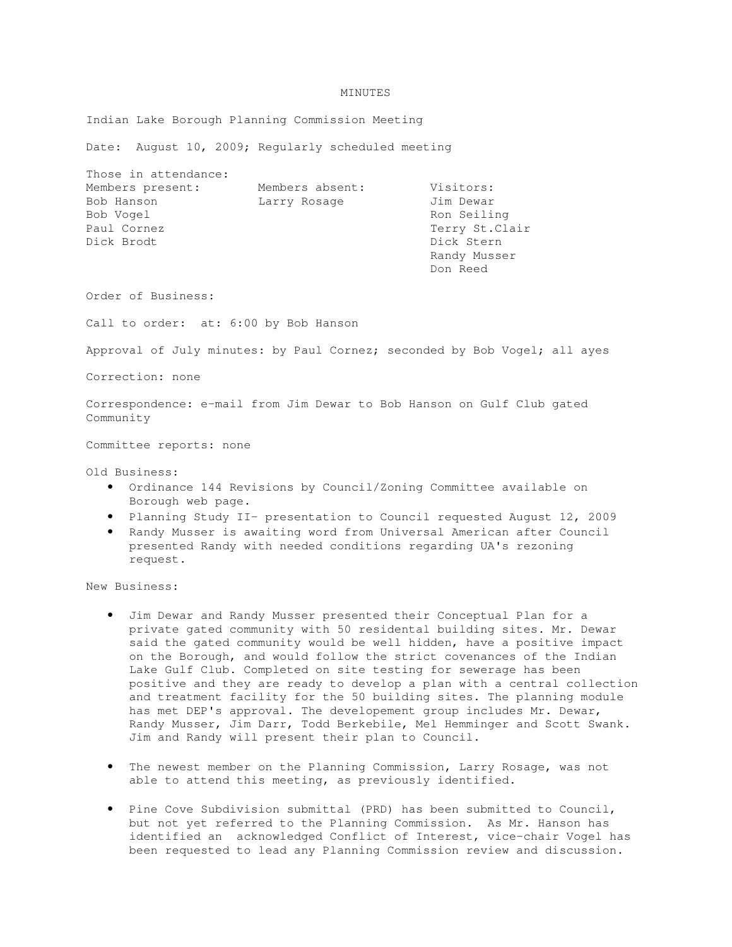## MINUTES

Indian Lake Borough Planning Commission Meeting

Date: August 10, 2009; Regularly scheduled meeting

| Those in attendance: |                 |                 |
|----------------------|-----------------|-----------------|
| Members present:     | Members absent: | Visitors:       |
| Bob Hanson           | Larry Rosage    | Jim Dewar       |
| Bob Vogel            |                 | Ron Seiling     |
| Paul Cornez          |                 | Terry St. Clair |
| Dick Brodt           |                 | Dick Stern      |
|                      |                 | Randy Musser    |
|                      |                 | Don Reed        |

Order of Business:

Call to order: at: 6:00 by Bob Hanson

Approval of July minutes: by Paul Cornez; seconded by Bob Vogel; all ayes

Correction: none

Correspondence: e-mail from Jim Dewar to Bob Hanson on Gulf Club gated Community

Committee reports: none

Old Business:

- Ordinance 144 Revisions by Council/Zoning Committee available on Borough web page.
- Planning Study II- presentation to Council requested August 12, 2009
- Randy Musser is awaiting word from Universal American after Council presented Randy with needed conditions regarding UA's rezoning request.

New Business:

- Jim Dewar and Randy Musser presented their Conceptual Plan for a private gated community with 50 residental building sites. Mr. Dewar said the gated community would be well hidden, have a positive impact on the Borough, and would follow the strict covenances of the Indian Lake Gulf Club. Completed on site testing for sewerage has been positive and they are ready to develop a plan with a central collection and treatment facility for the 50 building sites. The planning module has met DEP's approval. The developement group includes Mr. Dewar, Randy Musser, Jim Darr, Todd Berkebile, Mel Hemminger and Scott Swank. Jim and Randy will present their plan to Council.
- The newest member on the Planning Commission, Larry Rosage, was not able to attend this meeting, as previously identified.
- Pine Cove Subdivision submittal (PRD) has been submitted to Council, but not yet referred to the Planning Commission. As Mr. Hanson has identified an acknowledged Conflict of Interest, vice-chair Vogel has been requested to lead any Planning Commission review and discussion.